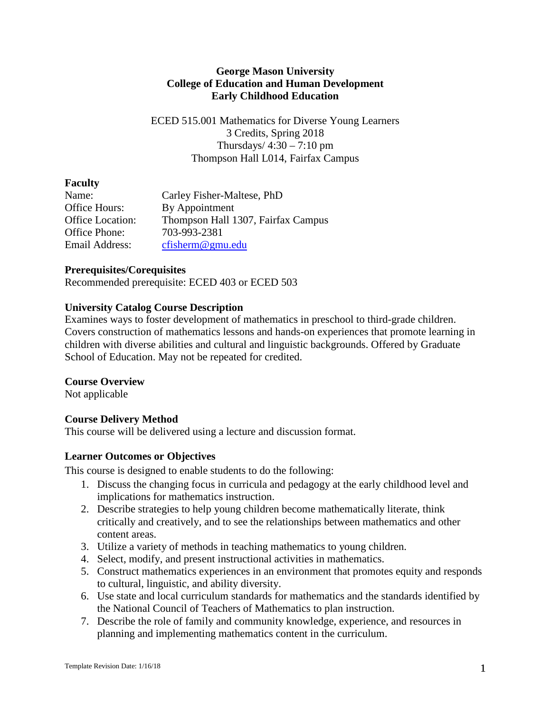## **George Mason University College of Education and Human Development Early Childhood Education**

ECED 515.001 Mathematics for Diverse Young Learners 3 Credits, Spring 2018 Thursdays/ $4:30 - 7:10$  pm Thompson Hall L014, Fairfax Campus

## **Faculty**

| Name:                   | Carley Fisher-Maltese, PhD         |
|-------------------------|------------------------------------|
| Office Hours:           | By Appointment                     |
| <b>Office Location:</b> | Thompson Hall 1307, Fairfax Campus |
| Office Phone:           | 703-993-2381                       |
| Email Address:          | cfisherm@gmu.edu                   |

## **Prerequisites/Corequisites**

Recommended prerequisite: ECED 403 or ECED 503

## **University Catalog Course Description**

Examines ways to foster development of mathematics in preschool to third-grade children. Covers construction of mathematics lessons and hands-on experiences that promote learning in children with diverse abilities and cultural and linguistic backgrounds. Offered by Graduate School of Education. May not be repeated for credited.

## **Course Overview**

Not applicable

# **Course Delivery Method**

This course will be delivered using a lecture and discussion format.

## **Learner Outcomes or Objectives**

This course is designed to enable students to do the following:

- 1. Discuss the changing focus in curricula and pedagogy at the early childhood level and implications for mathematics instruction.
- 2. Describe strategies to help young children become mathematically literate, think critically and creatively, and to see the relationships between mathematics and other content areas.
- 3. Utilize a variety of methods in teaching mathematics to young children.
- 4. Select, modify, and present instructional activities in mathematics.
- 5. Construct mathematics experiences in an environment that promotes equity and responds to cultural, linguistic, and ability diversity.
- 6. Use state and local curriculum standards for mathematics and the standards identified by the National Council of Teachers of Mathematics to plan instruction.
- 7. Describe the role of family and community knowledge, experience, and resources in planning and implementing mathematics content in the curriculum.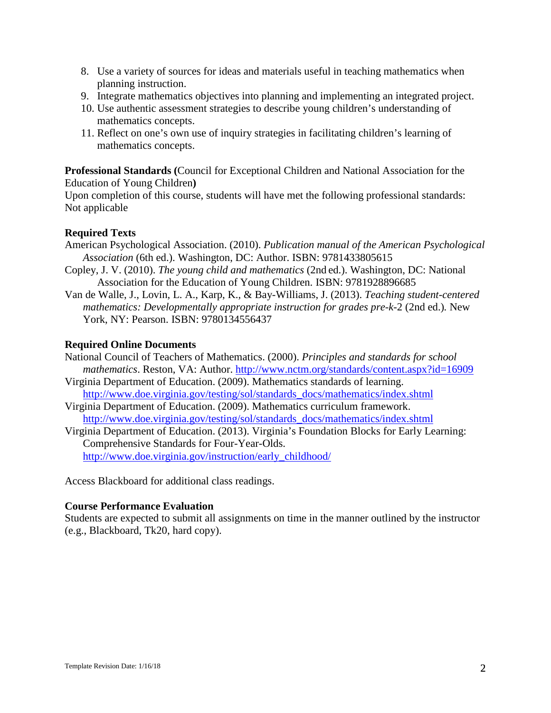- 8. Use a variety of sources for ideas and materials useful in teaching mathematics when planning instruction.
- 9. Integrate mathematics objectives into planning and implementing an integrated project.
- 10. Use authentic assessment strategies to describe young children's understanding of mathematics concepts.
- 11. Reflect on one's own use of inquiry strategies in facilitating children's learning of mathematics concepts.

**Professional Standards (**Council for Exceptional Children and National Association for the Education of Young Children**)**

Upon completion of this course, students will have met the following professional standards: Not applicable

# **Required Texts**

- American Psychological Association. (2010). *Publication manual of the American Psychological Association* (6th ed.). Washington, DC: Author. ISBN: 9781433805615
- Copley, J. V. (2010). *The young child and mathematics* (2nd ed.). Washington, DC: National Association for the Education of Young Children. ISBN: 9781928896685
- Van de Walle, J., Lovin, L. A., Karp, K., & Bay-Williams, J. (2013). *Teaching student-centered mathematics: Developmentally appropriate instruction for grades pre-k-*2 (2nd ed.)*.* New York, NY: Pearson. ISBN: 9780134556437

# **Required Online Documents**

National Council of Teachers of Mathematics. (2000). *Principles and standards for school mathematics*. Reston, VA: Author.<http://www.nctm.org/standards/content.aspx?id=16909>

- Virginia Department of Education. (2009). Mathematics standards of learning. [http://www.doe.virginia.gov/testing/sol/standards\\_docs/mathematics/index.shtml](http://www.doe.virginia.gov/testing/sol/standards_docs/mathematics/index.shtml)
- Virginia Department of Education. (2009). Mathematics curriculum framework. [http://www.doe.virginia.gov/testing/sol/standards\\_docs/mathematics/index.shtml](http://www.doe.virginia.gov/testing/sol/standards_docs/mathematics/index.shtml)

Virginia Department of Education. (2013). Virginia's Foundation Blocks for Early Learning: Comprehensive Standards for Four-Year-Olds. [http://www.doe.virginia.gov/instruction/early\\_childhood/](http://www.doe.virginia.gov/instruction/early_childhood/)

Access Blackboard for additional class readings.

## **Course Performance Evaluation**

Students are expected to submit all assignments on time in the manner outlined by the instructor (e.g., Blackboard, Tk20, hard copy).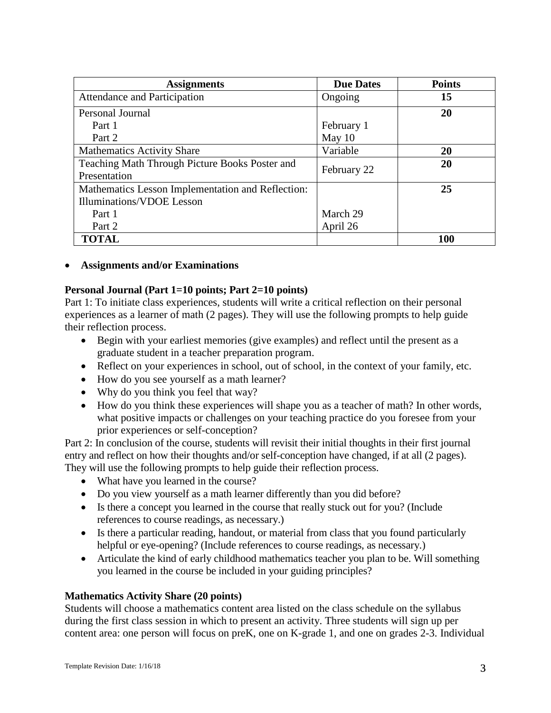| <b>Assignments</b>                                | <b>Due Dates</b> | <b>Points</b> |
|---------------------------------------------------|------------------|---------------|
| Attendance and Participation                      | Ongoing          | 15            |
| Personal Journal                                  |                  | 20            |
| Part 1                                            | February 1       |               |
| Part 2                                            | May 10           |               |
| <b>Mathematics Activity Share</b>                 | Variable         | 20            |
| Teaching Math Through Picture Books Poster and    | February 22      | 20            |
| Presentation                                      |                  |               |
| Mathematics Lesson Implementation and Reflection: |                  | 25            |
| Illuminations/VDOE Lesson                         |                  |               |
| Part 1                                            | March 29         |               |
| Part 2                                            | April 26         |               |
| <b>TOTAL</b>                                      |                  | <b>100</b>    |

## • **Assignments and/or Examinations**

## **Personal Journal (Part 1=10 points; Part 2=10 points)**

Part 1: To initiate class experiences, students will write a critical reflection on their personal experiences as a learner of math (2 pages). They will use the following prompts to help guide their reflection process.

- Begin with your earliest memories (give examples) and reflect until the present as a graduate student in a teacher preparation program.
- Reflect on your experiences in school, out of school, in the context of your family, etc.
- How do you see yourself as a math learner?
- Why do you think you feel that way?
- How do you think these experiences will shape you as a teacher of math? In other words, what positive impacts or challenges on your teaching practice do you foresee from your prior experiences or self-conception?

Part 2: In conclusion of the course, students will revisit their initial thoughts in their first journal entry and reflect on how their thoughts and/or self-conception have changed, if at all (2 pages). They will use the following prompts to help guide their reflection process.

- What have you learned in the course?
- Do you view yourself as a math learner differently than you did before?
- Is there a concept you learned in the course that really stuck out for you? (Include references to course readings, as necessary.)
- Is there a particular reading, handout, or material from class that you found particularly helpful or eye-opening? (Include references to course readings, as necessary.)
- Articulate the kind of early childhood mathematics teacher you plan to be. Will something you learned in the course be included in your guiding principles?

#### **Mathematics Activity Share (20 points)**

Students will choose a mathematics content area listed on the class schedule on the syllabus during the first class session in which to present an activity. Three students will sign up per content area: one person will focus on preK, one on K-grade 1, and one on grades 2-3. Individual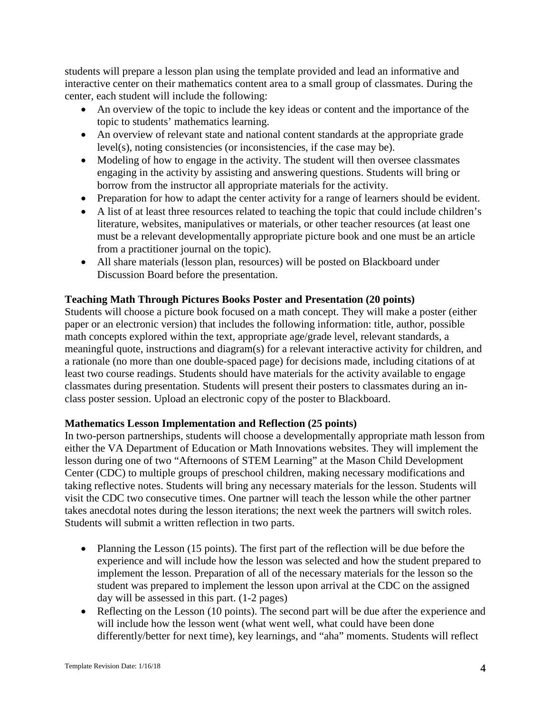students will prepare a lesson plan using the template provided and lead an informative and interactive center on their mathematics content area to a small group of classmates. During the center, each student will include the following:

- An overview of the topic to include the key ideas or content and the importance of the topic to students' mathematics learning.
- An overview of relevant state and national content standards at the appropriate grade level(s), noting consistencies (or inconsistencies, if the case may be).
- Modeling of how to engage in the activity. The student will then oversee classmates engaging in the activity by assisting and answering questions. Students will bring or borrow from the instructor all appropriate materials for the activity.
- Preparation for how to adapt the center activity for a range of learners should be evident.
- A list of at least three resources related to teaching the topic that could include children's literature, websites, manipulatives or materials, or other teacher resources (at least one must be a relevant developmentally appropriate picture book and one must be an article from a practitioner journal on the topic).
- All share materials (lesson plan, resources) will be posted on Blackboard under Discussion Board before the presentation.

# **Teaching Math Through Pictures Books Poster and Presentation (20 points)**

Students will choose a picture book focused on a math concept. They will make a poster (either paper or an electronic version) that includes the following information: title, author, possible math concepts explored within the text, appropriate age/grade level, relevant standards, a meaningful quote, instructions and diagram(s) for a relevant interactive activity for children, and a rationale (no more than one double-spaced page) for decisions made, including citations of at least two course readings. Students should have materials for the activity available to engage classmates during presentation. Students will present their posters to classmates during an inclass poster session. Upload an electronic copy of the poster to Blackboard.

# **Mathematics Lesson Implementation and Reflection (25 points)**

In two-person partnerships, students will choose a developmentally appropriate math lesson from either the VA Department of Education or Math Innovations websites. They will implement the lesson during one of two "Afternoons of STEM Learning" at the Mason Child Development Center (CDC) to multiple groups of preschool children, making necessary modifications and taking reflective notes. Students will bring any necessary materials for the lesson. Students will visit the CDC two consecutive times. One partner will teach the lesson while the other partner takes anecdotal notes during the lesson iterations; the next week the partners will switch roles. Students will submit a written reflection in two parts.

- Planning the Lesson (15 points). The first part of the reflection will be due before the experience and will include how the lesson was selected and how the student prepared to implement the lesson. Preparation of all of the necessary materials for the lesson so the student was prepared to implement the lesson upon arrival at the CDC on the assigned day will be assessed in this part. (1-2 pages)
- Reflecting on the Lesson (10 points). The second part will be due after the experience and will include how the lesson went (what went well, what could have been done differently/better for next time), key learnings, and "aha" moments. Students will reflect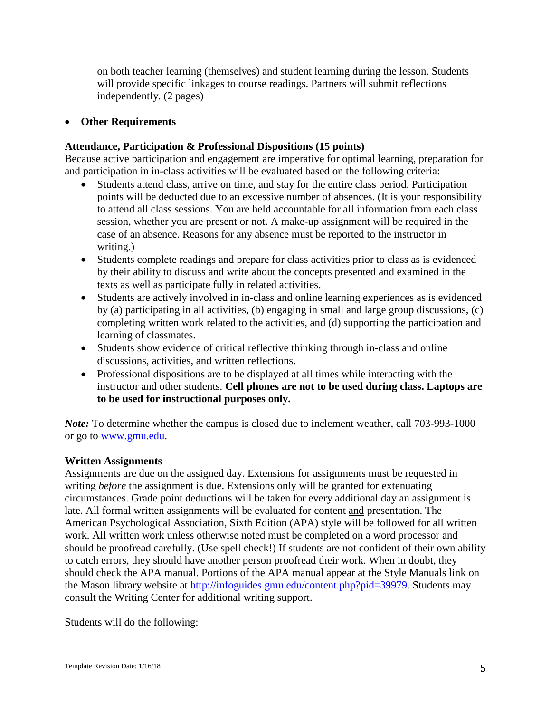on both teacher learning (themselves) and student learning during the lesson. Students will provide specific linkages to course readings. Partners will submit reflections independently. (2 pages)

## • **Other Requirements**

## **Attendance, Participation & Professional Dispositions (15 points)**

Because active participation and engagement are imperative for optimal learning, preparation for and participation in in-class activities will be evaluated based on the following criteria:

- Students attend class, arrive on time, and stay for the entire class period. Participation points will be deducted due to an excessive number of absences. (It is your responsibility to attend all class sessions. You are held accountable for all information from each class session, whether you are present or not. A make-up assignment will be required in the case of an absence. Reasons for any absence must be reported to the instructor in writing.)
- Students complete readings and prepare for class activities prior to class as is evidenced by their ability to discuss and write about the concepts presented and examined in the texts as well as participate fully in related activities.
- Students are actively involved in in-class and online learning experiences as is evidenced by (a) participating in all activities, (b) engaging in small and large group discussions, (c) completing written work related to the activities, and (d) supporting the participation and learning of classmates.
- Students show evidence of critical reflective thinking through in-class and online discussions, activities, and written reflections.
- Professional dispositions are to be displayed at all times while interacting with the instructor and other students. **Cell phones are not to be used during class. Laptops are to be used for instructional purposes only.**

*Note:* To determine whether the campus is closed due to inclement weather, call 703-993-1000 or go to [www.gmu.edu.](http://www.gmu.edu/)

## **Written Assignments**

Assignments are due on the assigned day. Extensions for assignments must be requested in writing *before* the assignment is due. Extensions only will be granted for extenuating circumstances. Grade point deductions will be taken for every additional day an assignment is late. All formal written assignments will be evaluated for content and presentation. The American Psychological Association, Sixth Edition (APA) style will be followed for all written work. All written work unless otherwise noted must be completed on a word processor and should be proofread carefully. (Use spell check!) If students are not confident of their own ability to catch errors, they should have another person proofread their work. When in doubt, they should check the APA manual. Portions of the APA manual appear at the Style Manuals link on the Mason library website at [http://infoguides.gmu.edu/content.php?pid=39979.](http://infoguides.gmu.edu/content.php?pid=39979) Students may consult the Writing Center for additional writing support.

Students will do the following: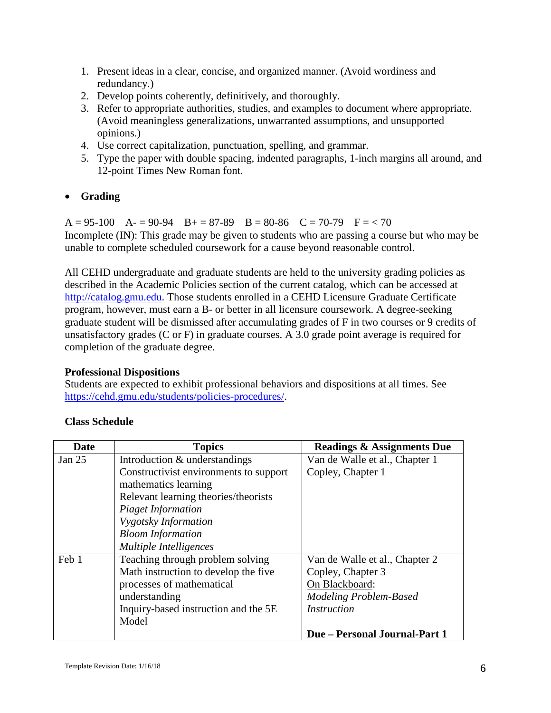- 1. Present ideas in a clear, concise, and organized manner. (Avoid wordiness and redundancy.)
- 2. Develop points coherently, definitively, and thoroughly.
- 3. Refer to appropriate authorities, studies, and examples to document where appropriate. (Avoid meaningless generalizations, unwarranted assumptions, and unsupported opinions.)
- 4. Use correct capitalization, punctuation, spelling, and grammar.
- 5. Type the paper with double spacing, indented paragraphs, 1-inch margins all around, and 12-point Times New Roman font.

# • **Grading**

 $A = 95-100$   $A = 90-94$   $B = 87-89$   $B = 80-86$   $C = 70-79$   $F = 70$ Incomplete (IN): This grade may be given to students who are passing a course but who may be unable to complete scheduled coursework for a cause beyond reasonable control.

All CEHD undergraduate and graduate students are held to the university grading policies as described in the Academic Policies section of the current catalog, which can be accessed at [http://catalog.gmu.edu.](http://catalog.gmu.edu/) Those students enrolled in a CEHD Licensure Graduate Certificate program, however, must earn a B- or better in all licensure coursework. A degree-seeking graduate student will be dismissed after accumulating grades of F in two courses or 9 credits of unsatisfactory grades (C or F) in graduate courses. A 3.0 grade point average is required for completion of the graduate degree.

# **Professional Dispositions**

Students are expected to exhibit professional behaviors and dispositions at all times. See [https://cehd.gmu.edu/students/policies-procedures/.](https://cehd.gmu.edu/students/policies-procedures/)

| <b>Date</b> | <b>Topics</b>                          | <b>Readings &amp; Assignments Due</b> |
|-------------|----------------------------------------|---------------------------------------|
| Jan $25$    | Introduction & understandings          | Van de Walle et al., Chapter 1        |
|             | Constructivist environments to support | Copley, Chapter 1                     |
|             | mathematics learning                   |                                       |
|             | Relevant learning theories/theorists   |                                       |
|             | Piaget Information                     |                                       |
|             | <b>Vygotsky Information</b>            |                                       |
|             | <b>Bloom Information</b>               |                                       |
|             | Multiple Intelligences                 |                                       |
| Feb 1       | Teaching through problem solving       | Van de Walle et al., Chapter 2        |
|             | Math instruction to develop the five   | Copley, Chapter 3                     |
|             | processes of mathematical              | On Blackboard:                        |
|             | understanding                          | <b>Modeling Problem-Based</b>         |
|             | Inquiry-based instruction and the 5E   | <b>Instruction</b>                    |
|             | Model                                  |                                       |
|             |                                        | Due - Personal Journal-Part 1         |

# **Class Schedule**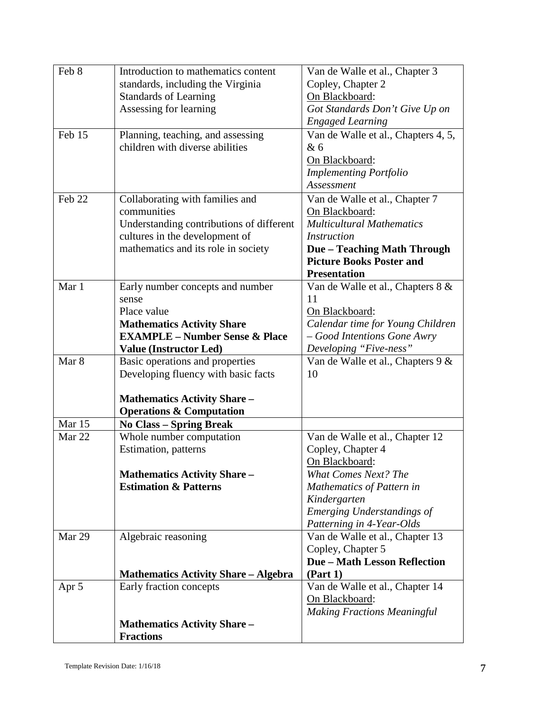| Feb 8            | Introduction to mathematics content                                     | Van de Walle et al., Chapter 3      |
|------------------|-------------------------------------------------------------------------|-------------------------------------|
|                  | standards, including the Virginia                                       | Copley, Chapter 2                   |
|                  | <b>Standards of Learning</b>                                            | On Blackboard:                      |
|                  | Assessing for learning                                                  | Got Standards Don't Give Up on      |
|                  |                                                                         | <b>Engaged Learning</b>             |
| Feb 15           | Planning, teaching, and assessing                                       | Van de Walle et al., Chapters 4, 5, |
|                  | children with diverse abilities                                         | &6                                  |
|                  |                                                                         | On Blackboard:                      |
|                  |                                                                         | <b>Implementing Portfolio</b>       |
|                  |                                                                         | Assessment                          |
| Feb 22           | Collaborating with families and                                         | Van de Walle et al., Chapter 7      |
|                  | communities                                                             | On Blackboard:                      |
|                  | Understanding contributions of different                                | <b>Multicultural Mathematics</b>    |
|                  | cultures in the development of                                          | <i>Instruction</i>                  |
|                  | mathematics and its role in society                                     | <b>Due - Teaching Math Through</b>  |
|                  |                                                                         | <b>Picture Books Poster and</b>     |
|                  |                                                                         | <b>Presentation</b>                 |
| Mar 1            | Early number concepts and number                                        | Van de Walle et al., Chapters 8 &   |
|                  | sense                                                                   | 11                                  |
|                  | Place value                                                             | On Blackboard:                      |
|                  | <b>Mathematics Activity Share</b>                                       | Calendar time for Young Children    |
|                  | <b>EXAMPLE - Number Sense &amp; Place</b>                               | - Good Intentions Gone Awry         |
|                  | <b>Value (Instructor Led)</b>                                           | Developing "Five-ness"              |
| Mar <sub>8</sub> | Basic operations and properties                                         | Van de Walle et al., Chapters 9 &   |
|                  | Developing fluency with basic facts                                     | 10                                  |
|                  |                                                                         |                                     |
|                  | <b>Mathematics Activity Share -</b>                                     |                                     |
| Mar 15           | <b>Operations &amp; Computation</b>                                     |                                     |
| Mar 22           | <b>No Class - Spring Break</b>                                          |                                     |
|                  | Whole number computation<br>Estimation, patterns                        | Van de Walle et al., Chapter 12     |
|                  |                                                                         | Copley, Chapter 4<br>On Blackboard: |
|                  |                                                                         | <b>What Comes Next? The</b>         |
|                  | <b>Mathematics Activity Share -</b><br><b>Estimation &amp; Patterns</b> | Mathematics of Pattern in           |
|                  |                                                                         | Kindergarten                        |
|                  |                                                                         | <b>Emerging Understandings of</b>   |
|                  |                                                                         | Patterning in 4-Year-Olds           |
| Mar 29           | Algebraic reasoning                                                     | Van de Walle et al., Chapter 13     |
|                  |                                                                         | Copley, Chapter 5                   |
|                  |                                                                         | <b>Due - Math Lesson Reflection</b> |
|                  | <b>Mathematics Activity Share - Algebra</b>                             | (Part 1)                            |
| Apr 5            | Early fraction concepts                                                 | Van de Walle et al., Chapter 14     |
|                  |                                                                         | On Blackboard:                      |
|                  |                                                                         | <b>Making Fractions Meaningful</b>  |
|                  | <b>Mathematics Activity Share-</b>                                      |                                     |
|                  | <b>Fractions</b>                                                        |                                     |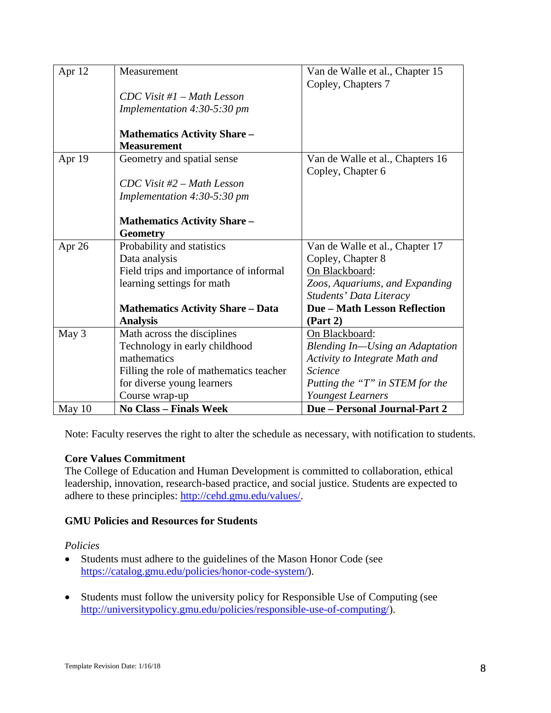| Apr 12   | Measurement                              | Van de Walle et al., Chapter 15      |
|----------|------------------------------------------|--------------------------------------|
|          |                                          | Copley, Chapters 7                   |
|          | $CDC$ Visit #1 – Math Lesson             |                                      |
|          | Implementation 4:30-5:30 pm              |                                      |
|          |                                          |                                      |
|          | <b>Mathematics Activity Share –</b>      |                                      |
|          | <b>Measurement</b>                       |                                      |
| Apr 19   | Geometry and spatial sense               | Van de Walle et al., Chapters 16     |
|          |                                          | Copley, Chapter 6                    |
|          | $CDC$ Visit #2 – Math Lesson             |                                      |
|          | Implementation 4:30-5:30 pm              |                                      |
|          |                                          |                                      |
|          | <b>Mathematics Activity Share -</b>      |                                      |
|          | <b>Geometry</b>                          |                                      |
| Apr 26   | Probability and statistics               | Van de Walle et al., Chapter 17      |
|          | Data analysis                            | Copley, Chapter 8                    |
|          | Field trips and importance of informal   | On Blackboard:                       |
|          | learning settings for math               | Zoos, Aquariums, and Expanding       |
|          |                                          | Students' Data Literacy              |
|          | <b>Mathematics Activity Share - Data</b> | <b>Due - Math Lesson Reflection</b>  |
|          | <b>Analysis</b>                          | (Part 2)                             |
| May 3    | Math across the disciplines              | On Blackboard:                       |
|          | Technology in early childhood            | Blending In-Using an Adaptation      |
|          | mathematics                              | Activity to Integrate Math and       |
|          | Filling the role of mathematics teacher  | <b>Science</b>                       |
|          | for diverse young learners               | Putting the "T" in STEM for the      |
|          | Course wrap-up                           | Youngest Learners                    |
| May $10$ | <b>No Class - Finals Week</b>            | <b>Due - Personal Journal-Part 2</b> |

Note: Faculty reserves the right to alter the schedule as necessary, with notification to students.

# **Core Values Commitment**

The College of Education and Human Development is committed to collaboration, ethical leadership, innovation, research-based practice, and social justice. Students are expected to adhere to these principles: [http://cehd.gmu.edu/values/.](http://cehd.gmu.edu/values/)

# **GMU Policies and Resources for Students**

# *Policies*

- Students must adhere to the guidelines of the Mason Honor Code (see [https://catalog.gmu.edu/policies/honor-code-system/\)](https://catalog.gmu.edu/policies/honor-code-system/).
- Students must follow the university policy for Responsible Use of Computing (see [http://universitypolicy.gmu.edu/policies/responsible-use-of-computing/\)](http://universitypolicy.gmu.edu/policies/responsible-use-of-computing/).